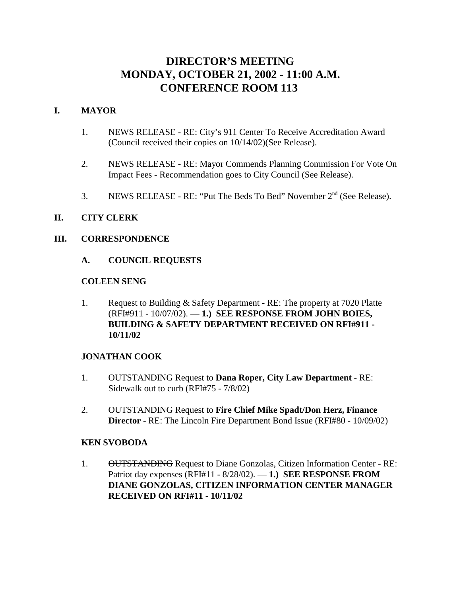# **DIRECTOR'S MEETING MONDAY, OCTOBER 21, 2002 - 11:00 A.M. CONFERENCE ROOM 113**

### **I. MAYOR**

- 1. NEWS RELEASE RE: City's 911 Center To Receive Accreditation Award (Council received their copies on 10/14/02)(See Release).
- 2. NEWS RELEASE RE: Mayor Commends Planning Commission For Vote On Impact Fees - Recommendation goes to City Council (See Release).
- 3. NEWS RELEASE RE: "Put The Beds To Bed" November 2nd (See Release).

#### **II. CITY CLERK**

#### **III. CORRESPONDENCE**

#### **A. COUNCIL REQUESTS**

#### **COLEEN SENG**

1. Request to Building & Safety Department - RE: The property at 7020 Platte (RFI#911 - 10/07/02). — **1.) SEE RESPONSE FROM JOHN BOIES, BUILDING & SAFETY DEPARTMENT RECEIVED ON RFI#911 - 10/11/02**

#### **JONATHAN COOK**

- 1. OUTSTANDING Request to **Dana Roper, City Law Department** RE: Sidewalk out to curb (RFI#75 - 7/8/02)
- 2. OUTSTANDING Request to **Fire Chief Mike Spadt/Don Herz, Finance Director** - RE: The Lincoln Fire Department Bond Issue (RFI#80 - 10/09/02)

#### **KEN SVOBODA**

1. OUTSTANDING Request to Diane Gonzolas, Citizen Information Center - RE: Patriot day expenses (RFI#11 - 8/28/02). — **1.) SEE RESPONSE FROM DIANE GONZOLAS, CITIZEN INFORMATION CENTER MANAGER RECEIVED ON RFI#11 - 10/11/02**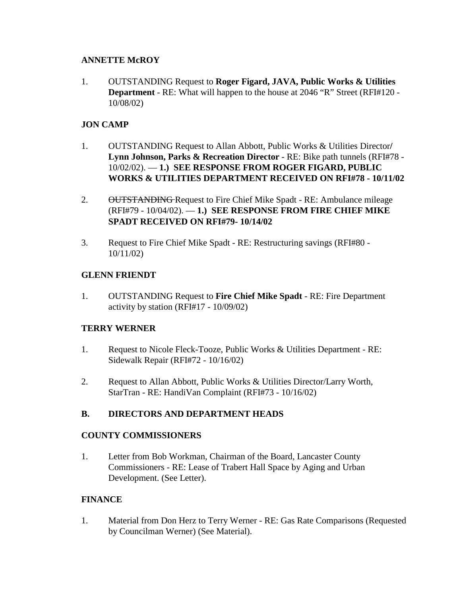### **ANNETTE McROY**

1. OUTSTANDING Request to **Roger Figard, JAVA, Public Works & Utilities Department** - RE: What will happen to the house at 2046 "R" Street (RFI#120 - 10/08/02)

# **JON CAMP**

- 1. OUTSTANDING Request to Allan Abbott, Public Works & Utilities Director**/ Lynn Johnson, Parks & Recreation Director** - RE: Bike path tunnels (RFI#78 - 10/02/02). — **1.) SEE RESPONSE FROM ROGER FIGARD, PUBLIC WORKS & UTILITIES DEPARTMENT RECEIVED ON RFI#78 - 10/11/02**
- 2. OUTSTANDING Request to Fire Chief Mike Spadt RE: Ambulance mileage (RFI#79 - 10/04/02). — **1.) SEE RESPONSE FROM FIRE CHIEF MIKE SPADT RECEIVED ON RFI#79- 10/14/02**
- 3. Request to Fire Chief Mike Spadt RE: Restructuring savings (RFI#80 10/11/02)

# **GLENN FRIENDT**

1. OUTSTANDING Request to **Fire Chief Mike Spadt** - RE: Fire Department activity by station (RFI#17 - 10/09/02)

# **TERRY WERNER**

- 1. Request to Nicole Fleck-Tooze, Public Works & Utilities Department RE: Sidewalk Repair (RFI#72 - 10/16/02)
- 2. Request to Allan Abbott, Public Works & Utilities Director/Larry Worth, StarTran - RE: HandiVan Complaint (RFI#73 - 10/16/02)

# **B. DIRECTORS AND DEPARTMENT HEADS**

# **COUNTY COMMISSIONERS**

1. Letter from Bob Workman, Chairman of the Board, Lancaster County Commissioners - RE: Lease of Trabert Hall Space by Aging and Urban Development. (See Letter).

# **FINANCE**

1. Material from Don Herz to Terry Werner - RE: Gas Rate Comparisons (Requested by Councilman Werner) (See Material).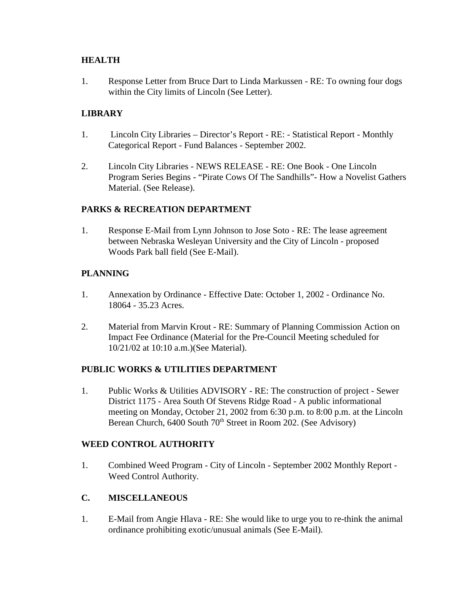### **HEALTH**

1. Response Letter from Bruce Dart to Linda Markussen - RE: To owning four dogs within the City limits of Lincoln (See Letter).

### **LIBRARY**

- 1. Lincoln City Libraries Director's Report RE: Statistical Report Monthly Categorical Report - Fund Balances - September 2002.
- 2. Lincoln City Libraries NEWS RELEASE RE: One Book One Lincoln Program Series Begins - "Pirate Cows Of The Sandhills"- How a Novelist Gathers Material. (See Release).

### **PARKS & RECREATION DEPARTMENT**

1. Response E-Mail from Lynn Johnson to Jose Soto - RE: The lease agreement between Nebraska Wesleyan University and the City of Lincoln - proposed Woods Park ball field (See E-Mail).

# **PLANNING**

- 1. Annexation by Ordinance Effective Date: October 1, 2002 Ordinance No. 18064 - 35.23 Acres.
- 2. Material from Marvin Krout RE: Summary of Planning Commission Action on Impact Fee Ordinance (Material for the Pre-Council Meeting scheduled for 10/21/02 at 10:10 a.m.)(See Material).

### **PUBLIC WORKS & UTILITIES DEPARTMENT**

1. Public Works & Utilities ADVISORY - RE: The construction of project - Sewer District 1175 - Area South Of Stevens Ridge Road - A public informational meeting on Monday, October 21, 2002 from 6:30 p.m. to 8:00 p.m. at the Lincoln Berean Church, 6400 South 70<sup>th</sup> Street in Room 202. (See Advisory)

### **WEED CONTROL AUTHORITY**

1. Combined Weed Program - City of Lincoln - September 2002 Monthly Report - Weed Control Authority.

# **C. MISCELLANEOUS**

1. E-Mail from Angie Hlava - RE: She would like to urge you to re-think the animal ordinance prohibiting exotic/unusual animals (See E-Mail).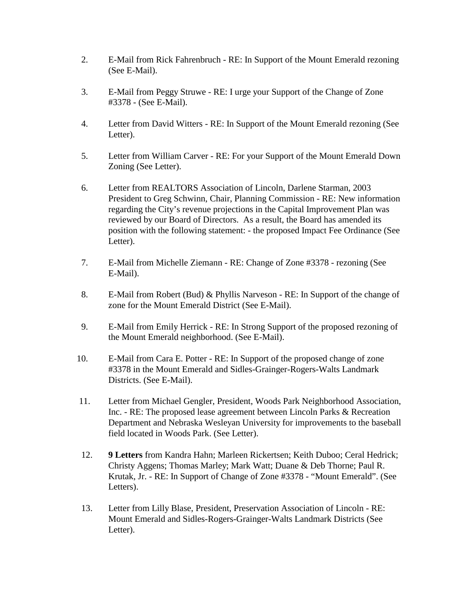- 2. E-Mail from Rick Fahrenbruch RE: In Support of the Mount Emerald rezoning (See E-Mail).
- 3. E-Mail from Peggy Struwe RE: I urge your Support of the Change of Zone #3378 - (See E-Mail).
- 4. Letter from David Witters RE: In Support of the Mount Emerald rezoning (See Letter).
- 5. Letter from William Carver RE: For your Support of the Mount Emerald Down Zoning (See Letter).
- 6. Letter from REALTORS Association of Lincoln, Darlene Starman, 2003 President to Greg Schwinn, Chair, Planning Commission - RE: New information regarding the City's revenue projections in the Capital Improvement Plan was reviewed by our Board of Directors. As a result, the Board has amended its position with the following statement: - the proposed Impact Fee Ordinance (See Letter).
- 7. E-Mail from Michelle Ziemann RE: Change of Zone #3378 rezoning (See E-Mail).
- 8. E-Mail from Robert (Bud) & Phyllis Narveson RE: In Support of the change of zone for the Mount Emerald District (See E-Mail).
- 9. E-Mail from Emily Herrick RE: In Strong Support of the proposed rezoning of the Mount Emerald neighborhood. (See E-Mail).
- 10. E-Mail from Cara E. Potter RE: In Support of the proposed change of zone #3378 in the Mount Emerald and Sidles-Grainger-Rogers-Walts Landmark Districts. (See E-Mail).
- 11. Letter from Michael Gengler, President, Woods Park Neighborhood Association, Inc. - RE: The proposed lease agreement between Lincoln Parks & Recreation Department and Nebraska Wesleyan University for improvements to the baseball field located in Woods Park. (See Letter).
- 12. **9 Letters** from Kandra Hahn; Marleen Rickertsen; Keith Duboo; Ceral Hedrick; Christy Aggens; Thomas Marley; Mark Watt; Duane & Deb Thorne; Paul R. Krutak, Jr. - RE: In Support of Change of Zone #3378 - "Mount Emerald". (See Letters).
- 13. Letter from Lilly Blase, President, Preservation Association of Lincoln RE: Mount Emerald and Sidles-Rogers-Grainger-Walts Landmark Districts (See Letter).